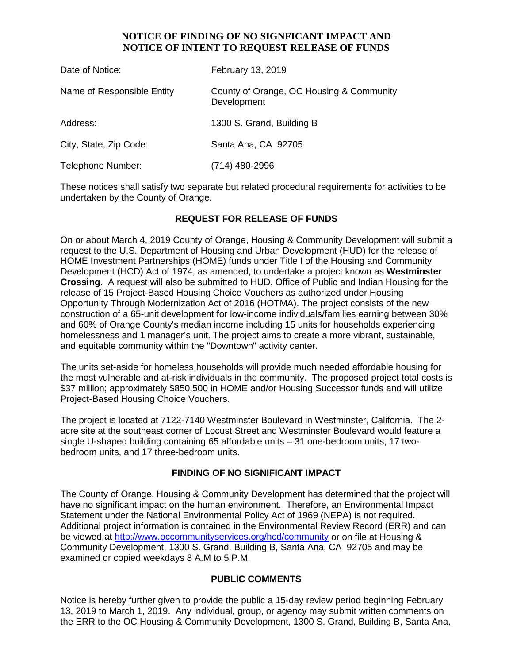## **NOTICE OF FINDING OF NO SIGNFICANT IMPACT AND NOTICE OF INTENT TO REQUEST RELEASE OF FUNDS**

| Date of Notice:            | February 13, 2019                                       |
|----------------------------|---------------------------------------------------------|
| Name of Responsible Entity | County of Orange, OC Housing & Community<br>Development |
| Address:                   | 1300 S. Grand, Building B                               |
| City, State, Zip Code:     | Santa Ana, CA 92705                                     |
| Telephone Number:          | (714) 480-2996                                          |

These notices shall satisfy two separate but related procedural requirements for activities to be undertaken by the County of Orange.

# **REQUEST FOR RELEASE OF FUNDS**

On or about March 4, 2019 County of Orange, Housing & Community Development will submit a request to the U.S. Department of Housing and Urban Development (HUD) for the release of HOME Investment Partnerships (HOME) funds under Title I of the Housing and Community Development (HCD) Act of 1974, as amended, to undertake a project known as **Westminster Crossing**. A request will also be submitted to HUD, Office of Public and Indian Housing for the release of 15 Project-Based Housing Choice Vouchers as authorized under Housing Opportunity Through Modernization Act of 2016 (HOTMA). The project consists of the new construction of a 65-unit development for low-income individuals/families earning between 30% and 60% of Orange County's median income including 15 units for households experiencing homelessness and 1 manager's unit. The project aims to create a more vibrant, sustainable, and equitable community within the "Downtown" activity center.

The units set-aside for homeless households will provide much needed affordable housing for the most vulnerable and at-risk individuals in the community. The proposed project total costs is \$37 million; approximately \$850,500 in HOME and/or Housing Successor funds and will utilize Project-Based Housing Choice Vouchers.

The project is located at 7122-7140 Westminster Boulevard in Westminster, California. The 2 acre site at the southeast corner of Locust Street and Westminster Boulevard would feature a single U-shaped building containing 65 affordable units – 31 one-bedroom units, 17 twobedroom units, and 17 three-bedroom units.

#### **FINDING OF NO SIGNIFICANT IMPACT**

The County of Orange, Housing & Community Development has determined that the project will have no significant impact on the human environment. Therefore, an Environmental Impact Statement under the National Environmental Policy Act of 1969 (NEPA) is not required. Additional project information is contained in the Environmental Review Record (ERR) and can be viewed at<http://www.occommunityservices.org/hcd/community> or on file at Housing & Community Development, 1300 S. Grand. Building B, Santa Ana, CA 92705 and may be examined or copied weekdays 8 A.M to 5 P.M.

#### **PUBLIC COMMENTS**

Notice is hereby further given to provide the public a 15-day review period beginning February 13, 2019 to March 1, 2019. Any individual, group, or agency may submit written comments on the ERR to the OC Housing & Community Development, 1300 S. Grand, Building B, Santa Ana,